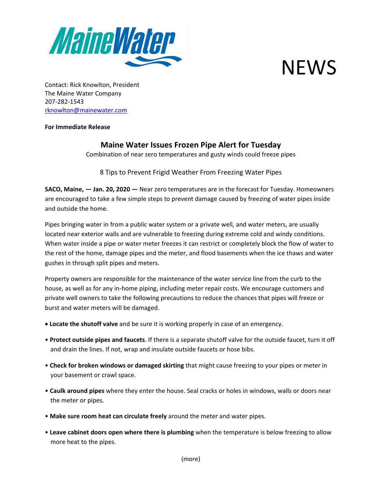



Contact: Rick Knowlton, President The Maine Water Company 207-282-1543 [rknowlton@mainewater.com](mailto:rknowlton@mainewater.com)

## **For Immediate Release**

## **Maine Water Issues Frozen Pipe Alert for Tuesday**

Combination of near zero temperatures and gusty winds could freeze pipes

8 Tips to Prevent Frigid Weather From Freezing Water Pipes

**SACO, Maine, — Jan. 20, 2020 —** Near zero temperatures are in the forecast for Tuesday. Homeowners are encouraged to take a few simple steps to prevent damage caused by freezing of water pipes inside and outside the home.

Pipes bringing water in from a public water system or a private well, and water meters, are usually located near exterior walls and are vulnerable to freezing during extreme cold and windy conditions. When water inside a pipe or water meter freezes it can restrict or completely block the flow of water to the rest of the home, damage pipes and the meter, and flood basements when the ice thaws and water gushes in through split pipes and meters.

Property owners are responsible for the maintenance of the water service line from the curb to the house, as well as for any in-home piping, including meter repair costs. We encourage customers and private well owners to take the following precautions to reduce the chances that pipes will freeze or burst and water meters will be damaged.

- **Locate the shutoff valve** and be sure it is working properly in case of an emergency.
- **Protect outside pipes and faucets**. If there is a separate shutoff valve for the outside faucet, turn it off and drain the lines. If not, wrap and insulate outside faucets or hose bibs.
- **Check for broken windows or damaged skirting** that might cause freezing to your pipes or meter in your basement or crawl space.
- **Caulk around pipes** where they enter the house. Seal cracks or holes in windows, walls or doors near the meter or pipes.
- **Make sure room heat can circulate freely** around the meter and water pipes.
- **Leave cabinet doors open where there is plumbing** when the temperature is below freezing to allow more heat to the pipes.